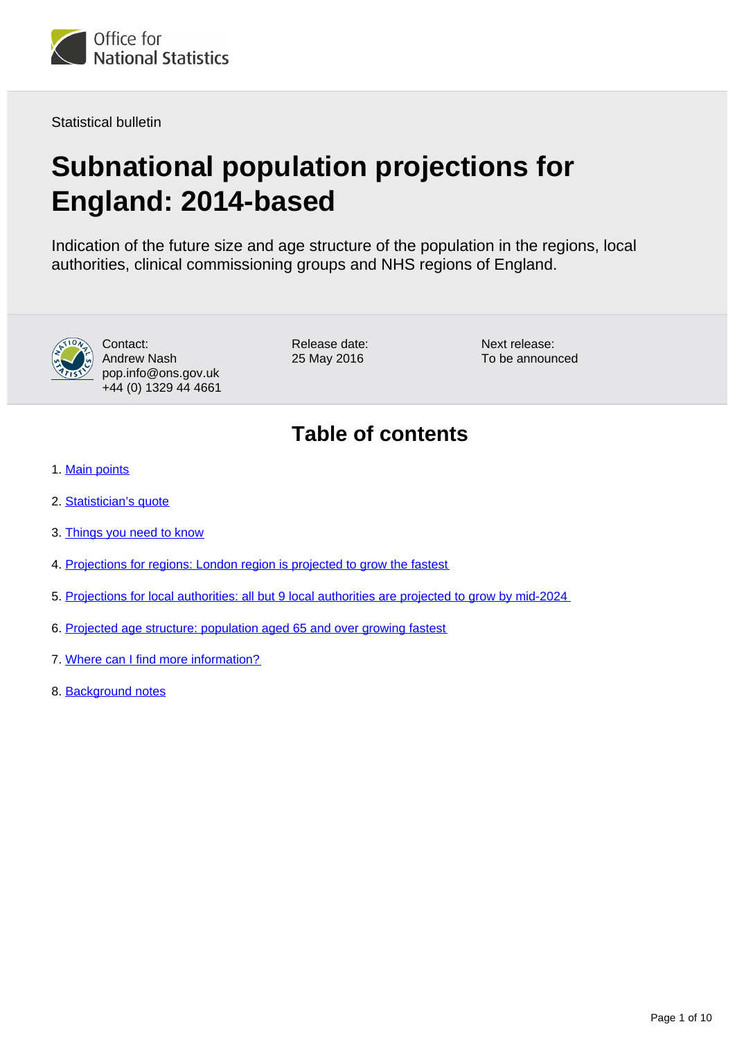

Statistical bulletin

# **Subnational population projections for England: 2014-based**

Indication of the future size and age structure of the population in the regions, local authorities, clinical commissioning groups and NHS regions of England.



Contact: Andrew Nash pop.info@ons.gov.uk +44 (0) 1329 44 4661 Release date: 25 May 2016

Next release: To be announced

## **Table of contents**

- 1. [Main points](#page-1-0)
- 2. [Statistician's quote](#page-1-1)
- 3. [Things you need to know](#page-1-2)
- 4. [Projections for regions: London region is projected to grow the fastest](#page-2-0)
- 5. [Projections for local authorities: all but 9 local authorities are projected to grow by mid-2024](#page-4-0)
- 6. [Projected age structure: population aged 65 and over growing fastest](#page-6-0)
- 7. [Where can I find more information?](#page-8-0)
- 8. Background notes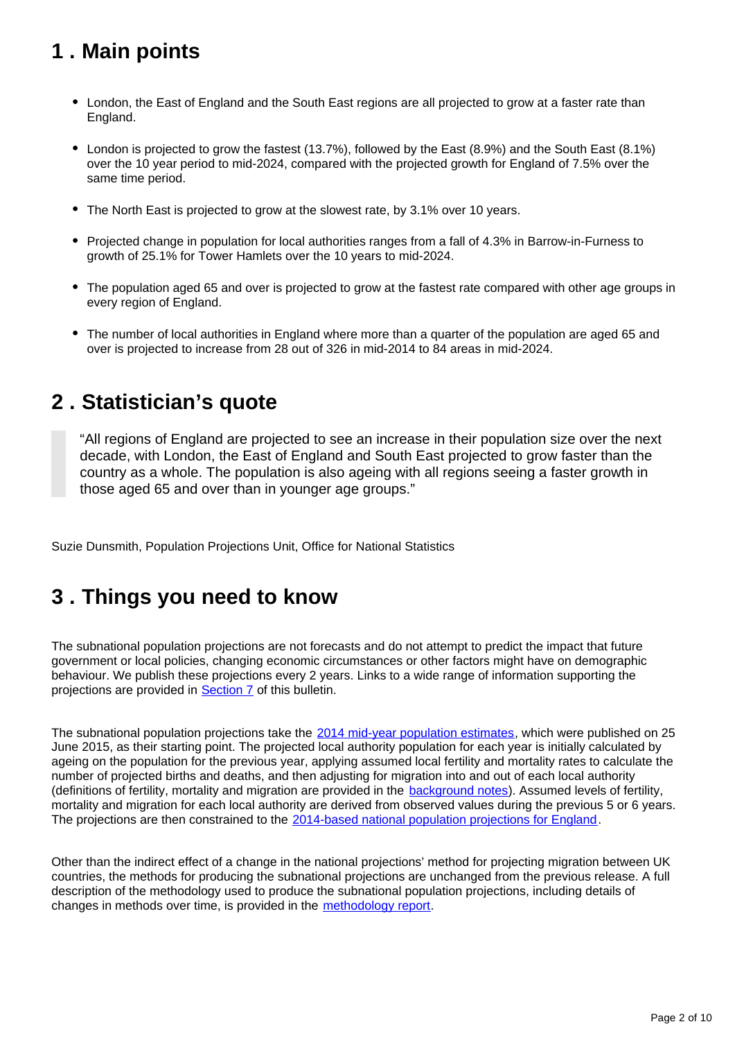## <span id="page-1-0"></span>**1 . Main points**

- London, the East of England and the South East regions are all projected to grow at a faster rate than England.
- London is projected to grow the fastest (13.7%), followed by the East (8.9%) and the South East (8.1%) over the 10 year period to mid-2024, compared with the projected growth for England of 7.5% over the same time period.
- The North East is projected to grow at the slowest rate, by 3.1% over 10 years.
- Projected change in population for local authorities ranges from a fall of 4.3% in Barrow-in-Furness to growth of 25.1% for Tower Hamlets over the 10 years to mid-2024.
- The population aged 65 and over is projected to grow at the fastest rate compared with other age groups in every region of England.
- The number of local authorities in England where more than a quarter of the population are aged 65 and over is projected to increase from 28 out of 326 in mid-2014 to 84 areas in mid-2024.

## <span id="page-1-1"></span>**2 . Statistician's quote**

"All regions of England are projected to see an increase in their population size over the next decade, with London, the East of England and South East projected to grow faster than the country as a whole. The population is also ageing with all regions seeing a faster growth in those aged 65 and over than in younger age groups."

Suzie Dunsmith, Population Projections Unit, Office for National Statistics

## <span id="page-1-2"></span>**3 . Things you need to know**

The subnational population projections are not forecasts and do not attempt to predict the impact that future government or local policies, changing economic circumstances or other factors might have on demographic behaviour. We publish these projections every 2 years. Links to a wide range of information supporting the projections are provided in [Section 7](https://www.ons.gov.uk/peoplepopulationandcommunity/populationandmigration/populationprojections/bulletins/subnationalpopulationprojectionsforengland/2014basedprojections#where-can-i-find-more-information) of this bulletin.

The subnational population projections take the [2014 mid-year population estimates](https://www.ons.gov.uk/peoplepopulationandcommunity/populationandmigration/populationestimates/bulletins/annualmidyearpopulationestimates/2015-06-25), which were published on 25 June 2015, as their starting point. The projected local authority population for each year is initially calculated by ageing on the population for the previous year, applying assumed local fertility and mortality rates to calculate the number of projected births and deaths, and then adjusting for migration into and out of each local authority (definitions of fertility, mortality and migration are provided in the [background notes\)](https://www.ons.gov.uk/peoplepopulationandcommunity/populationandmigration/populationprojections/bulletins/subnationalpopulationprojectionsforengland/2014basedprojections#background-notes). Assumed levels of fertility, mortality and migration for each local authority are derived from observed values during the previous 5 or 6 years. The projections are then constrained to the [2014-based national population projections for England.](http://www.ons.gov.uk/peoplepopulationandcommunity/populationandmigration/populationprojections/bulletins/nationalpopulationprojections/2015-10-29)

Other than the indirect effect of a change in the national projections' method for projecting migration between UK countries, the methods for producing the subnational projections are unchanged from the previous release. A full description of the methodology used to produce the subnational population projections, including details of changes in methods over time, is provided in the [methodology report.](https://www.ons.gov.uk/peoplepopulationandcommunity/populationandmigration/populationprojections/methodologies/methodologyusedtoproducethesubnationalpopulationprojectionsforengland)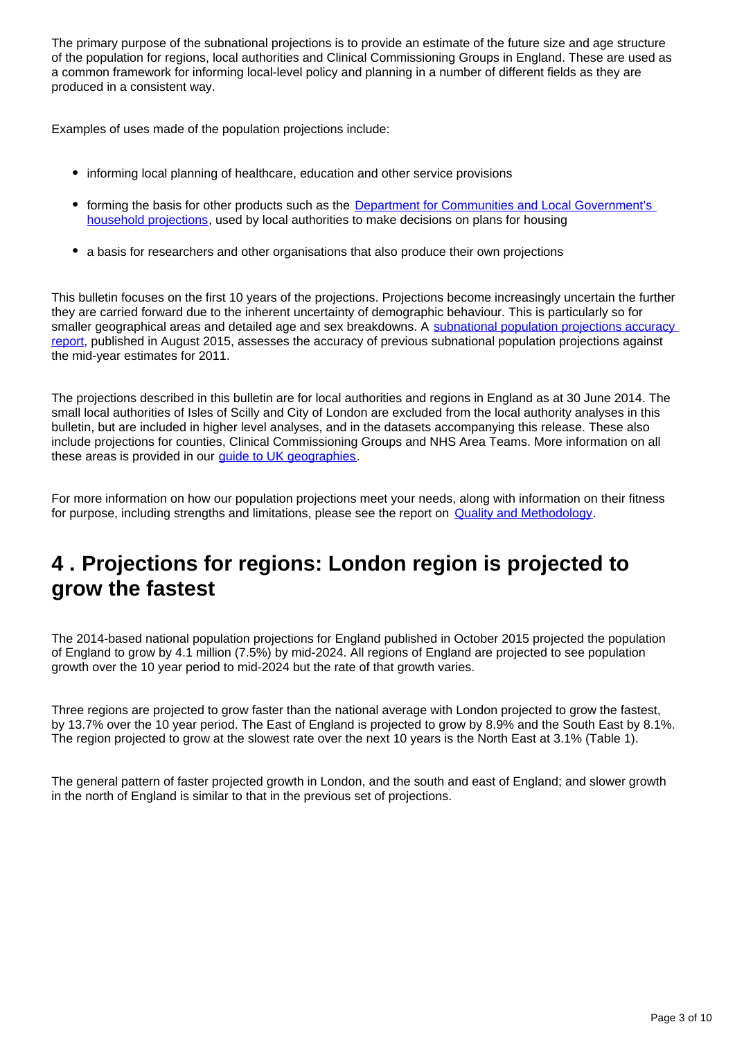The primary purpose of the subnational projections is to provide an estimate of the future size and age structure of the population for regions, local authorities and Clinical Commissioning Groups in England. These are used as a common framework for informing local-level policy and planning in a number of different fields as they are produced in a consistent way.

Examples of uses made of the population projections include:

- informing local planning of healthcare, education and other service provisions
- forming the basis for other products such as the Department for Communities and Local Government's [household projections,](https://www.gov.uk/government/collections/household-projections) used by local authorities to make decisions on plans for housing
- a basis for researchers and other organisations that also produce their own projections

This bulletin focuses on the first 10 years of the projections. Projections become increasingly uncertain the further they are carried forward due to the inherent uncertainty of demographic behaviour. This is particularly so for smaller geographical areas and detailed age and sex breakdowns. A subnational population projections accuracy [report](https://www.ons.gov.uk/peoplepopulationandcommunity/populationandmigration/populationprojections/methodologies/subnationalpopulationprojectionsaccuracyreport), published in August 2015, assesses the accuracy of previous subnational population projections against the mid-year estimates for 2011.

The projections described in this bulletin are for local authorities and regions in England as at 30 June 2014. The small local authorities of Isles of Scilly and City of London are excluded from the local authority analyses in this bulletin, but are included in higher level analyses, and in the datasets accompanying this release. These also include projections for counties, Clinical Commissioning Groups and NHS Area Teams. More information on all these areas is provided in our [guide to UK geographies.](http://www.ons.gov.uk/methodology/geography/ukgeographies)

For more information on how our population projections meet your needs, along with information on their fitness for purpose, including strengths and limitations, please see the report on [Quality and Methodology](https://www.ons.gov.uk/peoplepopulationandcommunity/populationandmigration/populationprojections/methodologies/subnationalpopulationprojectionsqmi).

## <span id="page-2-0"></span>**4 . Projections for regions: London region is projected to grow the fastest**

The 2014-based national population projections for England published in October 2015 projected the population of England to grow by 4.1 million (7.5%) by mid-2024. All regions of England are projected to see population growth over the 10 year period to mid-2024 but the rate of that growth varies.

Three regions are projected to grow faster than the national average with London projected to grow the fastest, by 13.7% over the 10 year period. The East of England is projected to grow by 8.9% and the South East by 8.1%. The region projected to grow at the slowest rate over the next 10 years is the North East at 3.1% (Table 1).

The general pattern of faster projected growth in London, and the south and east of England; and slower growth in the north of England is similar to that in the previous set of projections.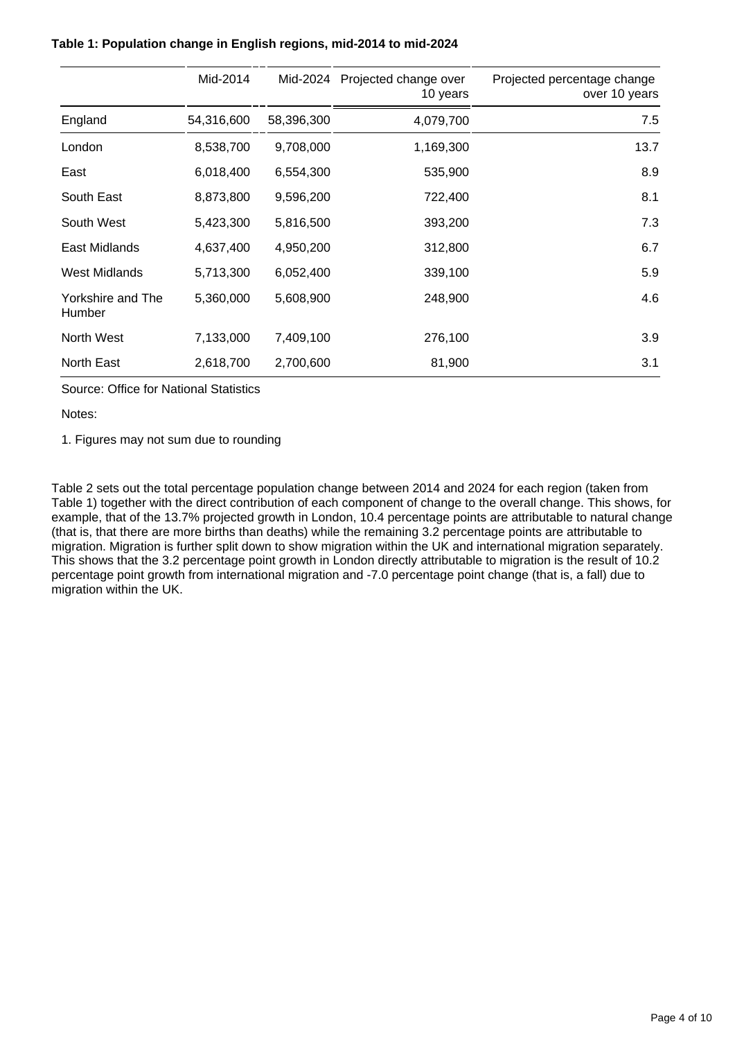|                             | Mid-2014   | Mid-2024   | Projected change over<br>10 years | Projected percentage change<br>over 10 years |
|-----------------------------|------------|------------|-----------------------------------|----------------------------------------------|
| England                     | 54,316,600 | 58,396,300 | 4,079,700                         | 7.5                                          |
| London                      | 8,538,700  | 9,708,000  | 1,169,300                         | 13.7                                         |
| East                        | 6,018,400  | 6,554,300  | 535,900                           | 8.9                                          |
| South East                  | 8,873,800  | 9,596,200  | 722,400                           | 8.1                                          |
| South West                  | 5,423,300  | 5,816,500  | 393,200                           | 7.3                                          |
| East Midlands               | 4,637,400  | 4,950,200  | 312,800                           | 6.7                                          |
| West Midlands               | 5,713,300  | 6,052,400  | 339,100                           | 5.9                                          |
| Yorkshire and The<br>Humber | 5,360,000  | 5,608,900  | 248,900                           | 4.6                                          |
| North West                  | 7,133,000  | 7,409,100  | 276,100                           | 3.9                                          |
| North East                  | 2,618,700  | 2,700,600  | 81,900                            | 3.1                                          |

#### **Table 1: Population change in English regions, mid-2014 to mid-2024**

Source: Office for National Statistics

Notes:

1. Figures may not sum due to rounding

Table 2 sets out the total percentage population change between 2014 and 2024 for each region (taken from Table 1) together with the direct contribution of each component of change to the overall change. This shows, for example, that of the 13.7% projected growth in London, 10.4 percentage points are attributable to natural change (that is, that there are more births than deaths) while the remaining 3.2 percentage points are attributable to migration. Migration is further split down to show migration within the UK and international migration separately. This shows that the 3.2 percentage point growth in London directly attributable to migration is the result of 10.2 percentage point growth from international migration and -7.0 percentage point change (that is, a fall) due to migration within the UK.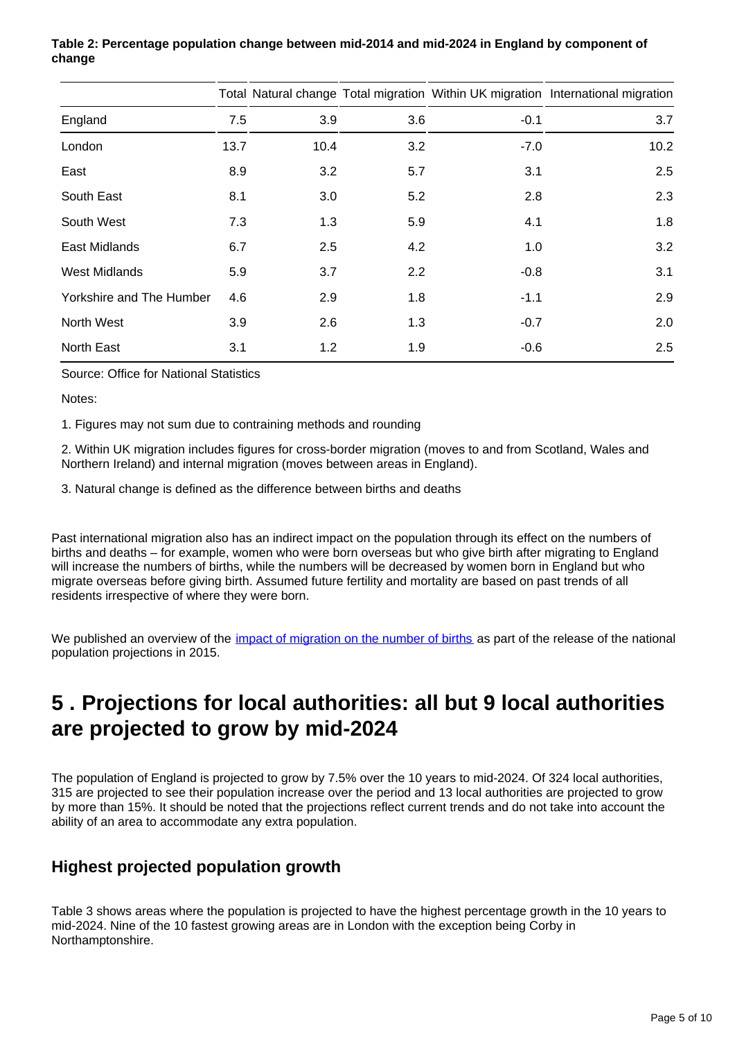|                          |      |      |     |        | Total Natural change Total migration Within UK migration International migration |
|--------------------------|------|------|-----|--------|----------------------------------------------------------------------------------|
| England                  | 7.5  | 3.9  | 3.6 | $-0.1$ | 3.7                                                                              |
| London                   | 13.7 | 10.4 | 3.2 | $-7.0$ | 10.2                                                                             |
| East                     | 8.9  | 3.2  | 5.7 | 3.1    | 2.5                                                                              |
| South East               | 8.1  | 3.0  | 5.2 | 2.8    | 2.3                                                                              |
| South West               | 7.3  | 1.3  | 5.9 | 4.1    | 1.8                                                                              |
| East Midlands            | 6.7  | 2.5  | 4.2 | 1.0    | 3.2                                                                              |
| <b>West Midlands</b>     | 5.9  | 3.7  | 2.2 | $-0.8$ | 3.1                                                                              |
| Yorkshire and The Humber | 4.6  | 2.9  | 1.8 | $-1.1$ | 2.9                                                                              |
| North West               | 3.9  | 2.6  | 1.3 | $-0.7$ | 2.0                                                                              |
| North East               | 3.1  | 1.2  | 1.9 | $-0.6$ | 2.5                                                                              |

**Table 2: Percentage population change between mid-2014 and mid-2024 in England by component of change**

Source: Office for National Statistics

Notes:

1. Figures may not sum due to contraining methods and rounding

2. Within UK migration includes figures for cross-border migration (moves to and from Scotland, Wales and Northern Ireland) and internal migration (moves between areas in England).

3. Natural change is defined as the difference between births and deaths

Past international migration also has an indirect impact on the population through its effect on the numbers of births and deaths – for example, women who were born overseas but who give birth after migrating to England will increase the numbers of births, while the numbers will be decreased by women born in England but who migrate overseas before giving birth. Assumed future fertility and mortality are based on past trends of all residents irrespective of where they were born.

We published an overview of the *impact of migration on the number of births* as part of the release of the national population projections in 2015.

## <span id="page-4-0"></span>**5 . Projections for local authorities: all but 9 local authorities are projected to grow by mid-2024**

The population of England is projected to grow by 7.5% over the 10 years to mid-2024. Of 324 local authorities, 315 are projected to see their population increase over the period and 13 local authorities are projected to grow by more than 15%. It should be noted that the projections reflect current trends and do not take into account the ability of an area to accommodate any extra population.

### **Highest projected population growth**

Table 3 shows areas where the population is projected to have the highest percentage growth in the 10 years to mid-2024. Nine of the 10 fastest growing areas are in London with the exception being Corby in Northamptonshire.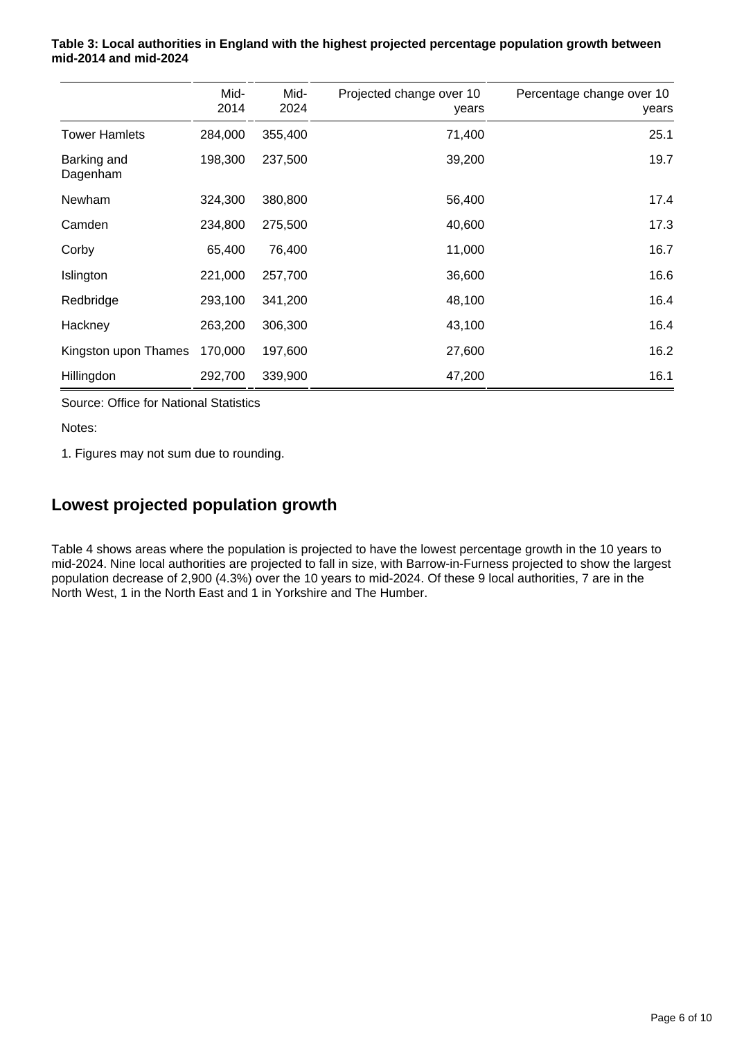|                         | Mid-<br>2014 | Mid-<br>2024 | Projected change over 10<br>years | Percentage change over 10<br>years |
|-------------------------|--------------|--------------|-----------------------------------|------------------------------------|
| <b>Tower Hamlets</b>    | 284,000      | 355,400      | 71,400                            | 25.1                               |
| Barking and<br>Dagenham | 198,300      | 237,500      | 39,200                            | 19.7                               |
| <b>Newham</b>           | 324,300      | 380,800      | 56,400                            | 17.4                               |
| Camden                  | 234,800      | 275,500      | 40,600                            | 17.3                               |
| Corby                   | 65,400       | 76,400       | 11,000                            | 16.7                               |
| Islington               | 221,000      | 257,700      | 36,600                            | 16.6                               |
| Redbridge               | 293,100      | 341,200      | 48,100                            | 16.4                               |
| Hackney                 | 263,200      | 306,300      | 43,100                            | 16.4                               |
| Kingston upon Thames    | 170,000      | 197,600      | 27,600                            | 16.2                               |
| Hillingdon              | 292,700      | 339,900      | 47,200                            | 16.1                               |

#### **Table 3: Local authorities in England with the highest projected percentage population growth between mid-2014 and mid-2024**

Source: Office for National Statistics

Notes:

1. Figures may not sum due to rounding.

### **Lowest projected population growth**

Table 4 shows areas where the population is projected to have the lowest percentage growth in the 10 years to mid-2024. Nine local authorities are projected to fall in size, with Barrow-in-Furness projected to show the largest population decrease of 2,900 (4.3%) over the 10 years to mid-2024. Of these 9 local authorities, 7 are in the North West, 1 in the North East and 1 in Yorkshire and The Humber.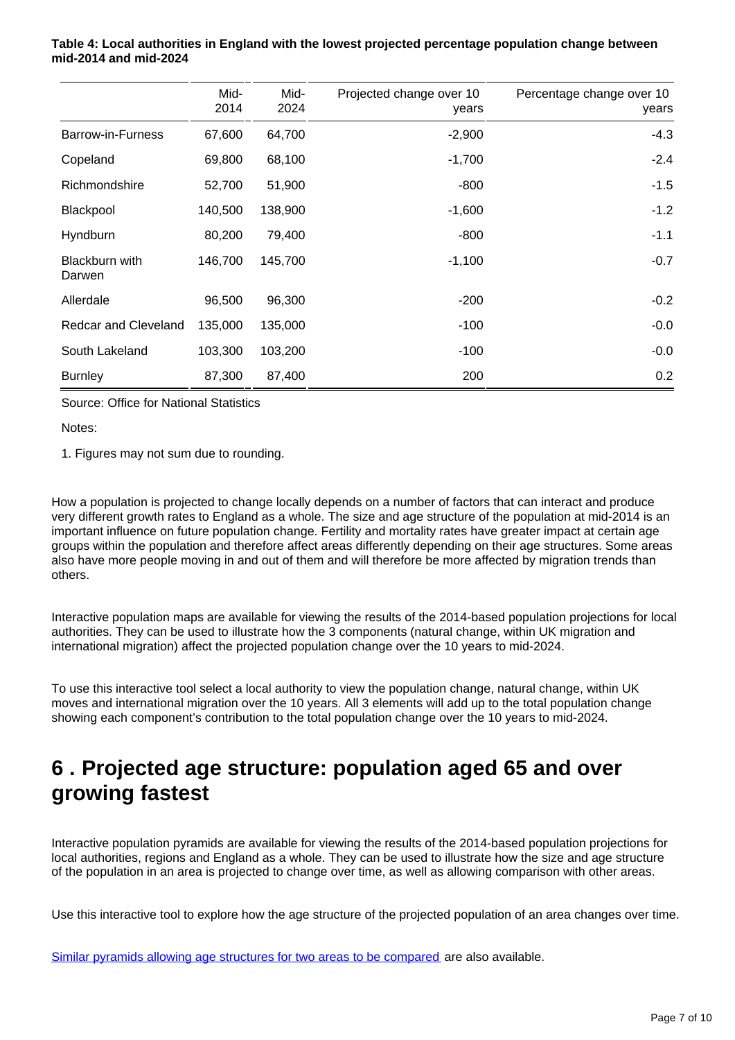|                          | Mid-<br>2014 | Mid-<br>2024 | Projected change over 10<br>years | Percentage change over 10<br>years |
|--------------------------|--------------|--------------|-----------------------------------|------------------------------------|
| Barrow-in-Furness        | 67,600       | 64,700       | $-2,900$                          | $-4.3$                             |
| Copeland                 | 69,800       | 68,100       | $-1,700$                          | $-2.4$                             |
| Richmondshire            | 52,700       | 51,900       | $-800$                            | $-1.5$                             |
| Blackpool                | 140,500      | 138,900      | $-1,600$                          | $-1.2$                             |
| Hyndburn                 | 80,200       | 79,400       | $-800$                            | $-1.1$                             |
| Blackburn with<br>Darwen | 146,700      | 145,700      | $-1,100$                          | $-0.7$                             |
| Allerdale                | 96,500       | 96,300       | $-200$                            | $-0.2$                             |
| Redcar and Cleveland     | 135,000      | 135,000      | $-100$                            | $-0.0$                             |
| South Lakeland           | 103,300      | 103,200      | $-100$                            | $-0.0$                             |
| <b>Burnley</b>           | 87,300       | 87,400       | 200                               | 0.2                                |

#### **Table 4: Local authorities in England with the lowest projected percentage population change between mid-2014 and mid-2024**

Source: Office for National Statistics

Notes:

1. Figures may not sum due to rounding.

How a population is projected to change locally depends on a number of factors that can interact and produce very different growth rates to England as a whole. The size and age structure of the population at mid-2014 is an important influence on future population change. Fertility and mortality rates have greater impact at certain age groups within the population and therefore affect areas differently depending on their age structures. Some areas also have more people moving in and out of them and will therefore be more affected by migration trends than others.

Interactive population maps are available for viewing the results of the 2014-based population projections for local authorities. They can be used to illustrate how the 3 components (natural change, within UK migration and international migration) affect the projected population change over the 10 years to mid-2024.

To use this interactive tool select a local authority to view the population change, natural change, within UK moves and international migration over the 10 years. All 3 elements will add up to the total population change showing each component's contribution to the total population change over the 10 years to mid-2024.

## <span id="page-6-0"></span>**6 . Projected age structure: population aged 65 and over growing fastest**

Interactive population pyramids are available for viewing the results of the 2014-based population projections for local authorities, regions and England as a whole. They can be used to illustrate how the size and age structure of the population in an area is projected to change over time, as well as allowing comparison with other areas.

Use this interactive tool to explore how the age structure of the projected population of an area changes over time.

[Similar pyramids allowing age structures for two areas to be compared](http://onsvisual.github.io/dvc334/pyramids/pyramids/index.html) are also available.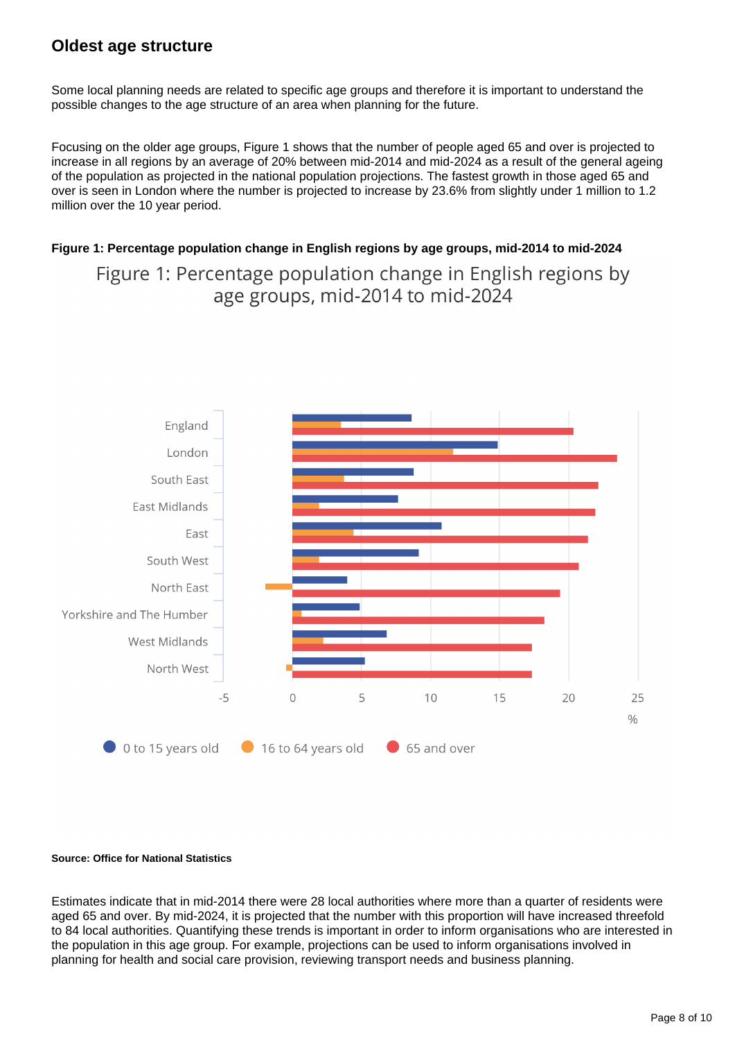### **Oldest age structure**

Some local planning needs are related to specific age groups and therefore it is important to understand the possible changes to the age structure of an area when planning for the future.

Focusing on the older age groups, Figure 1 shows that the number of people aged 65 and over is projected to increase in all regions by an average of 20% between mid-2014 and mid-2024 as a result of the general ageing of the population as projected in the national population projections. The fastest growth in those aged 65 and over is seen in London where the number is projected to increase by 23.6% from slightly under 1 million to 1.2 million over the 10 year period.

#### **Figure 1: Percentage population change in English regions by age groups, mid-2014 to mid-2024**

Figure 1: Percentage population change in English regions by age groups, mid-2014 to mid-2024



#### **Source: Office for National Statistics**

Estimates indicate that in mid-2014 there were 28 local authorities where more than a quarter of residents were aged 65 and over. By mid-2024, it is projected that the number with this proportion will have increased threefold to 84 local authorities. Quantifying these trends is important in order to inform organisations who are interested in the population in this age group. For example, projections can be used to inform organisations involved in planning for health and social care provision, reviewing transport needs and business planning.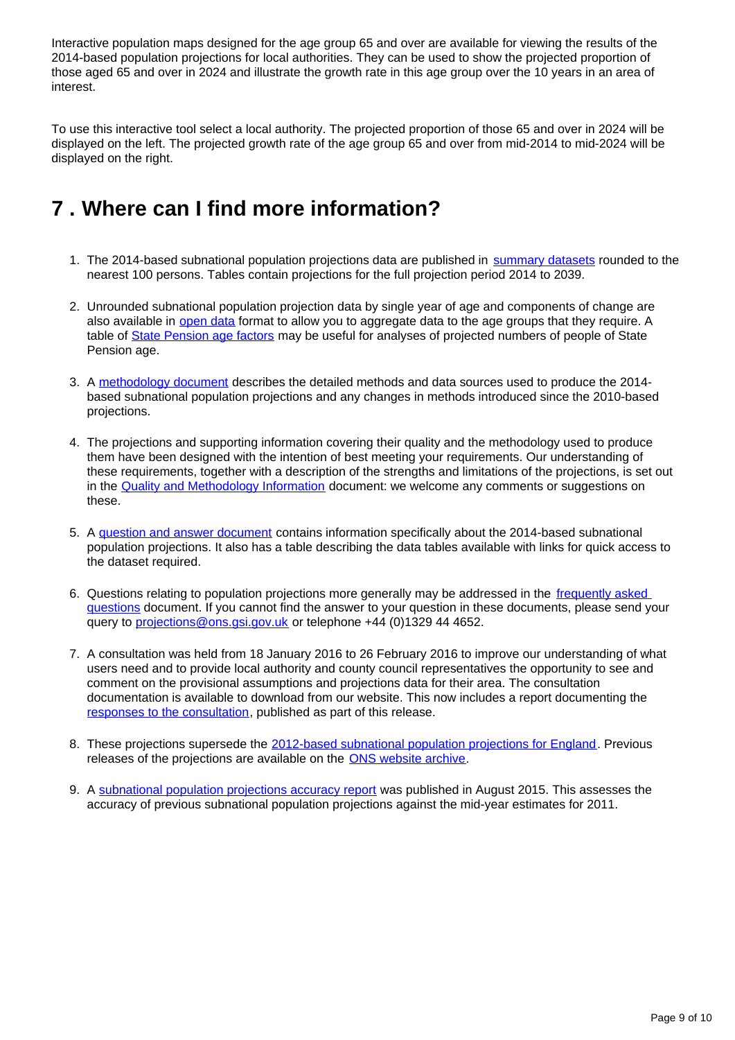Interactive population maps designed for the age group 65 and over are available for viewing the results of the 2014-based population projections for local authorities. They can be used to show the projected proportion of those aged 65 and over in 2024 and illustrate the growth rate in this age group over the 10 years in an area of interest.

To use this interactive tool select a local authority. The projected proportion of those 65 and over in 2024 will be displayed on the left. The projected growth rate of the age group 65 and over from mid-2014 to mid-2024 will be displayed on the right.

### <span id="page-8-0"></span>**7 . Where can I find more information?**

- 1. The 2014-based subnational population projections data are published in [summary datasets](https://www.ons.gov.uk/peoplepopulationandcommunity/populationandmigration/populationprojections/bulletins/subnationalpopulationprojectionsforengland/2014basedprojections/relateddata) rounded to the nearest 100 persons. Tables contain projections for the full projection period 2014 to 2039.
- 2. Unrounded subnational population projection data by single year of age and components of change are also available in [open data](https://www.ons.gov.uk/peoplepopulationandcommunity/populationandmigration/populationprojections/bulletins/subnationalpopulationprojectionsforengland/2014basedprojections/relateddata) format to allow you to aggregate data to the age groups that they require. A table of [State Pension age factors](https://www.ons.gov.uk/peoplepopulationandcommunity/populationandmigration/populationprojections/datasets/tableofstatepensionagefactorspensionsact) may be useful for analyses of projected numbers of people of State Pension age.
- 3. A [methodology document](https://www.ons.gov.uk/peoplepopulationandcommunity/populationandmigration/populationprojections/methodologies/methodologyusedtoproducethesubnationalpopulationprojectionsforengland) describes the detailed methods and data sources used to produce the 2014based subnational population projections and any changes in methods introduced since the 2010-based projections.
- 4. The projections and supporting information covering their quality and the methodology used to produce them have been designed with the intention of best meeting your requirements. Our understanding of these requirements, together with a description of the strengths and limitations of the projections, is set out in the [Quality and Methodology Information](https://www.ons.gov.uk/peoplepopulationandcommunity/populationandmigration/populationprojections/methodologies/subnationalpopulationprojectionsqmi) document: we welcome any comments or suggestions on these.
- 5. A [question and answer document](https://www.ons.gov.uk/peoplepopulationandcommunity/populationandmigration/populationprojections/methodologies/2012basedsubnationalpopulationprojectionsquestionsandanswers) contains information specifically about the 2014-based subnational population projections. It also has a table describing the data tables available with links for quick access to the dataset required.
- 6. Questions relating to population projections more generally may be addressed in the frequently asked [questions](https://www.ons.gov.uk/peoplepopulationandcommunity/populationandmigration/populationprojections/methodologies/frequentlyaskedquestionsaboutpopulationprojections) document. If you cannot find the answer to your question in these documents, please send your query to projections@ons.gsi.gov.uk or telephone +44 (0)1329 44 4652.
- 7. A consultation was held from 18 January 2016 to 26 February 2016 to improve our understanding of what users need and to provide local authority and county council representatives the opportunity to see and comment on the provisional assumptions and projections data for their area. The consultation documentation is available to download from our website. This now includes a report documenting the [responses to the consultation](https://www.ons.gov.uk/aboutus/whatwedo/statistics/consultationsandsurveys/allconsultationsandsurveys/consultationonthe2014basedsubnationalpopulationprojectionsforengland), published as part of this release.
- 8. These projections supersede the [2012-based subnational population projections for England.](https://www.ons.gov.uk/peoplepopulationandcommunity/populationandmigration/populationprojections/bulletins/subnationalpopulationprojectionsforengland/2014-05-29) Previous releases of the projections are available on the [ONS website archive.](https://www.ons.gov.uk/peoplepopulationandcommunity/populationandmigration/populationprojections/bulletins/subnationalpopulationprojectionsforengland/previousReleases)
- 9. A [subnational population projections accuracy report](https://www.ons.gov.uk/peoplepopulationandcommunity/populationandmigration/populationprojections/methodologies/subnationalpopulationprojectionsaccuracyreport) was published in August 2015. This assesses the accuracy of previous subnational population projections against the mid-year estimates for 2011.